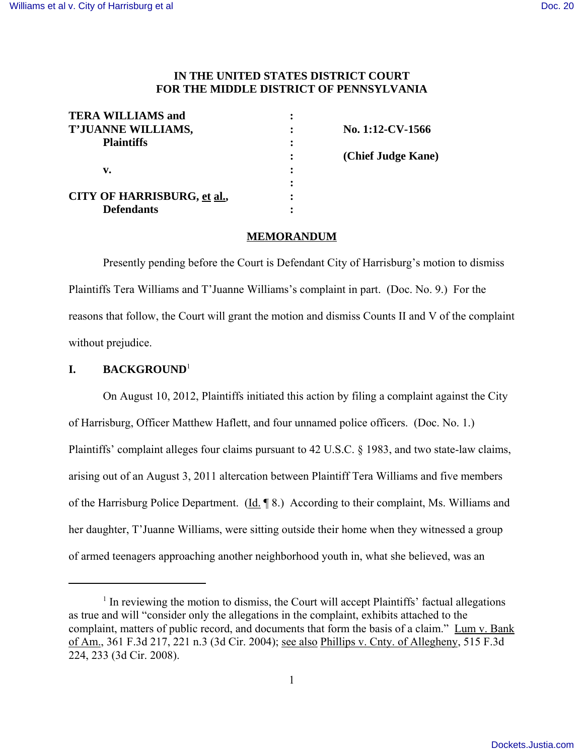## **IN THE UNITED STATES DISTRICT COURT FOR THE MIDDLE DISTRICT OF PENNSYLVANIA**

| <b>TERA WILLIAMS and</b>           |                    |
|------------------------------------|--------------------|
| T'JUANNE WILLIAMS,                 | No. 1:12-CV-1566   |
| <b>Plaintiffs</b>                  |                    |
|                                    | (Chief Judge Kane) |
| v.                                 |                    |
|                                    |                    |
| <b>CITY OF HARRISBURG, et al.,</b> |                    |
| <b>Defendants</b>                  |                    |

#### **MEMORANDUM**

Presently pending before the Court is Defendant City of Harrisburg's motion to dismiss Plaintiffs Tera Williams and T'Juanne Williams's complaint in part. (Doc. No. 9.) For the reasons that follow, the Court will grant the motion and dismiss Counts II and V of the complaint without prejudice.

## **I. BACKGROUND**<sup>1</sup>

On August 10, 2012, Plaintiffs initiated this action by filing a complaint against the City of Harrisburg, Officer Matthew Haflett, and four unnamed police officers. (Doc. No. 1.) Plaintiffs' complaint alleges four claims pursuant to 42 U.S.C. § 1983, and two state-law claims, arising out of an August 3, 2011 altercation between Plaintiff Tera Williams and five members of the Harrisburg Police Department. (Id. 18.) According to their complaint, Ms. Williams and her daughter, T'Juanne Williams, were sitting outside their home when they witnessed a group of armed teenagers approaching another neighborhood youth in, what she believed, was an

<sup>&</sup>lt;sup>1</sup> In reviewing the motion to dismiss, the Court will accept Plaintiffs' factual allegations as true and will "consider only the allegations in the complaint, exhibits attached to the complaint, matters of public record, and documents that form the basis of a claim." Lum v. Bank of Am., 361 F.3d 217, 221 n.3 (3d Cir. 2004); see also Phillips v. Cnty. of Allegheny, 515 F.3d 224, 233 (3d Cir. 2008).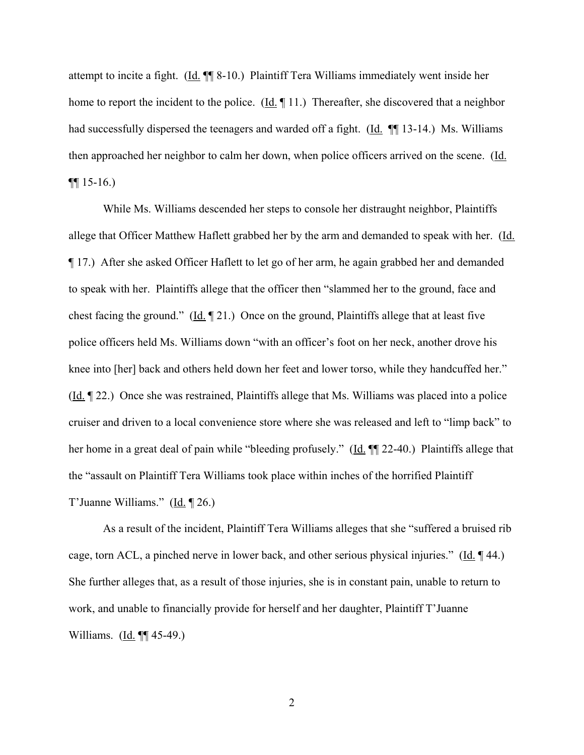attempt to incite a fight. (Id. ¶¶ 8-10.) Plaintiff Tera Williams immediately went inside her home to report the incident to the police.  $(\underline{Id}, \P 11)$ . Thereafter, she discovered that a neighbor had successfully dispersed the teenagers and warded off a fight. (Id.  $\P$  13-14.) Ms. Williams then approached her neighbor to calm her down, when police officers arrived on the scene. (Id.  $\P\P$  15-16.)

While Ms. Williams descended her steps to console her distraught neighbor, Plaintiffs allege that Officer Matthew Haflett grabbed her by the arm and demanded to speak with her. (Id. ¶ 17.) After she asked Officer Haflett to let go of her arm, he again grabbed her and demanded to speak with her. Plaintiffs allege that the officer then "slammed her to the ground, face and chest facing the ground." (Id. ¶ 21.) Once on the ground, Plaintiffs allege that at least five police officers held Ms. Williams down "with an officer's foot on her neck, another drove his knee into [her] back and others held down her feet and lower torso, while they handcuffed her." (Id. ¶ 22.) Once she was restrained, Plaintiffs allege that Ms. Williams was placed into a police cruiser and driven to a local convenience store where she was released and left to "limp back" to her home in a great deal of pain while "bleeding profusely." (Id. ¶¶ 22-40.) Plaintiffs allege that the "assault on Plaintiff Tera Williams took place within inches of the horrified Plaintiff T'Juanne Williams." (Id. 126.)

As a result of the incident, Plaintiff Tera Williams alleges that she "suffered a bruised rib cage, torn ACL, a pinched nerve in lower back, and other serious physical injuries." ( $\underline{Id}$ .  $\P$  44.) She further alleges that, as a result of those injuries, she is in constant pain, unable to return to work, and unable to financially provide for herself and her daughter, Plaintiff T'Juanne Williams. (Id. ¶¶ 45-49.)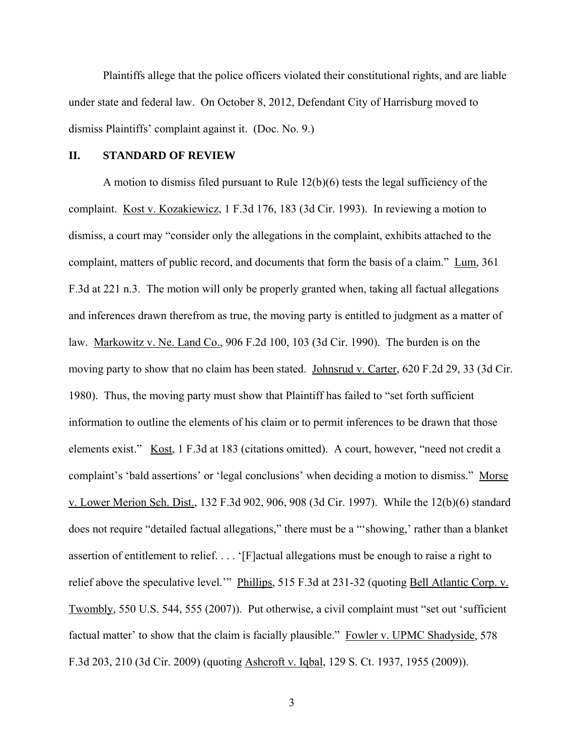Plaintiffs allege that the police officers violated their constitutional rights, and are liable under state and federal law. On October 8, 2012, Defendant City of Harrisburg moved to dismiss Plaintiffs' complaint against it. (Doc. No. 9.)

#### **II. STANDARD OF REVIEW**

A motion to dismiss filed pursuant to Rule 12(b)(6) tests the legal sufficiency of the complaint. Kost v. Kozakiewicz, 1 F.3d 176, 183 (3d Cir. 1993). In reviewing a motion to dismiss, a court may "consider only the allegations in the complaint, exhibits attached to the complaint, matters of public record, and documents that form the basis of a claim." Lum, 361 F.3d at 221 n.3. The motion will only be properly granted when, taking all factual allegations and inferences drawn therefrom as true, the moving party is entitled to judgment as a matter of law. Markowitz v. Ne. Land Co., 906 F.2d 100, 103 (3d Cir. 1990). The burden is on the moving party to show that no claim has been stated. Johnsrud v. Carter, 620 F.2d 29, 33 (3d Cir. 1980). Thus, the moving party must show that Plaintiff has failed to "set forth sufficient information to outline the elements of his claim or to permit inferences to be drawn that those elements exist." Kost, 1 F.3d at 183 (citations omitted). A court, however, "need not credit a complaint's 'bald assertions' or 'legal conclusions' when deciding a motion to dismiss." Morse v. Lower Merion Sch. Dist., 132 F.3d 902, 906, 908 (3d Cir. 1997). While the 12(b)(6) standard does not require "detailed factual allegations," there must be a "'showing,' rather than a blanket assertion of entitlement to relief. . . . '[F]actual allegations must be enough to raise a right to relief above the speculative level.'" Phillips, 515 F.3d at 231-32 (quoting Bell Atlantic Corp. v. Twombly, 550 U.S. 544, 555 (2007)). Put otherwise, a civil complaint must "set out 'sufficient factual matter' to show that the claim is facially plausible." Fowler v. UPMC Shadyside, 578 F.3d 203, 210 (3d Cir. 2009) (quoting Ashcroft v. Iqbal, 129 S. Ct. 1937, 1955 (2009)).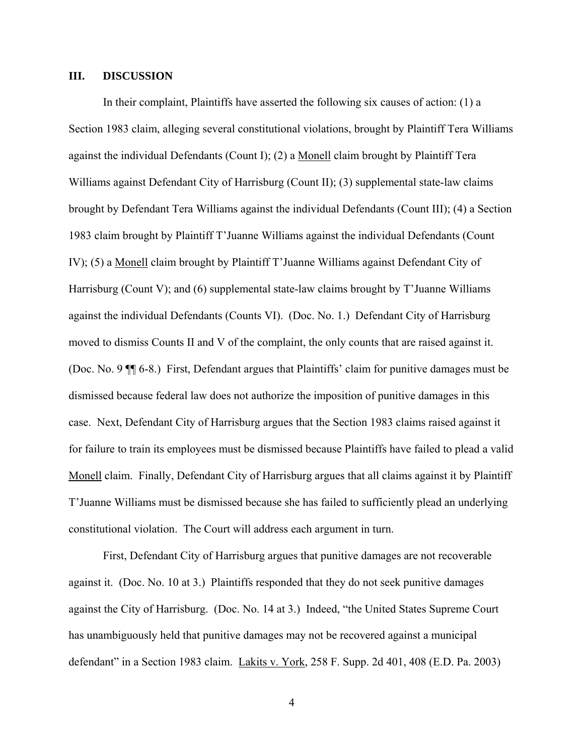## **III. DISCUSSION**

In their complaint, Plaintiffs have asserted the following six causes of action: (1) a Section 1983 claim, alleging several constitutional violations, brought by Plaintiff Tera Williams against the individual Defendants (Count I); (2) a Monell claim brought by Plaintiff Tera Williams against Defendant City of Harrisburg (Count II); (3) supplemental state-law claims brought by Defendant Tera Williams against the individual Defendants (Count III); (4) a Section 1983 claim brought by Plaintiff T'Juanne Williams against the individual Defendants (Count IV); (5) a Monell claim brought by Plaintiff T'Juanne Williams against Defendant City of Harrisburg (Count V); and (6) supplemental state-law claims brought by T'Juanne Williams against the individual Defendants (Counts VI). (Doc. No. 1.) Defendant City of Harrisburg moved to dismiss Counts II and V of the complaint, the only counts that are raised against it. (Doc. No. 9 ¶¶ 6-8.) First, Defendant argues that Plaintiffs' claim for punitive damages must be dismissed because federal law does not authorize the imposition of punitive damages in this case. Next, Defendant City of Harrisburg argues that the Section 1983 claims raised against it for failure to train its employees must be dismissed because Plaintiffs have failed to plead a valid Monell claim. Finally, Defendant City of Harrisburg argues that all claims against it by Plaintiff T'Juanne Williams must be dismissed because she has failed to sufficiently plead an underlying constitutional violation. The Court will address each argument in turn.

First, Defendant City of Harrisburg argues that punitive damages are not recoverable against it. (Doc. No. 10 at 3.) Plaintiffs responded that they do not seek punitive damages against the City of Harrisburg. (Doc. No. 14 at 3.) Indeed, "the United States Supreme Court has unambiguously held that punitive damages may not be recovered against a municipal defendant" in a Section 1983 claim. Lakits v. York, 258 F. Supp. 2d 401, 408 (E.D. Pa. 2003)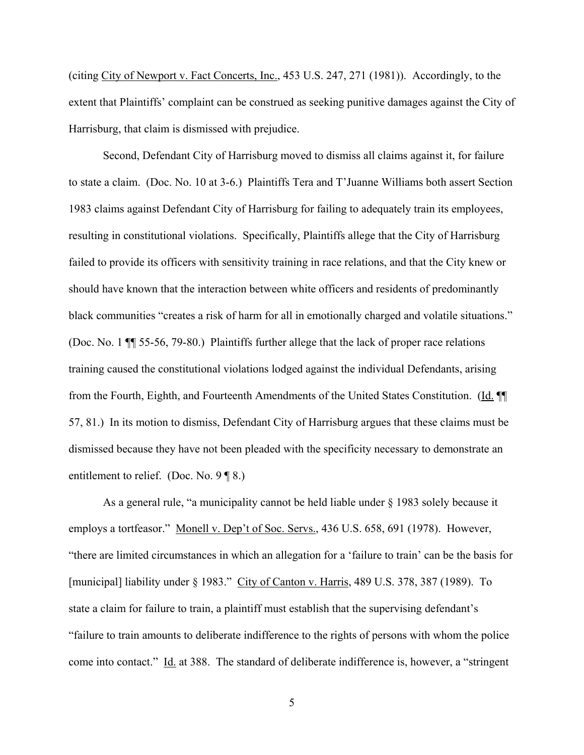(citing City of Newport v. Fact Concerts, Inc., 453 U.S. 247, 271 (1981)). Accordingly, to the extent that Plaintiffs' complaint can be construed as seeking punitive damages against the City of Harrisburg, that claim is dismissed with prejudice.

Second, Defendant City of Harrisburg moved to dismiss all claims against it, for failure to state a claim. (Doc. No. 10 at 3-6.) Plaintiffs Tera and T'Juanne Williams both assert Section 1983 claims against Defendant City of Harrisburg for failing to adequately train its employees, resulting in constitutional violations. Specifically, Plaintiffs allege that the City of Harrisburg failed to provide its officers with sensitivity training in race relations, and that the City knew or should have known that the interaction between white officers and residents of predominantly black communities "creates a risk of harm for all in emotionally charged and volatile situations." (Doc. No. 1 ¶¶ 55-56, 79-80.) Plaintiffs further allege that the lack of proper race relations training caused the constitutional violations lodged against the individual Defendants, arising from the Fourth, Eighth, and Fourteenth Amendments of the United States Constitution. (Id. ¶¶ 57, 81.) In its motion to dismiss, Defendant City of Harrisburg argues that these claims must be dismissed because they have not been pleaded with the specificity necessary to demonstrate an entitlement to relief. (Doc. No. 9 ¶ 8.)

As a general rule, "a municipality cannot be held liable under § 1983 solely because it employs a tortfeasor." Monell v. Dep't of Soc. Servs., 436 U.S. 658, 691 (1978). However, "there are limited circumstances in which an allegation for a 'failure to train' can be the basis for [municipal] liability under § 1983." City of Canton v. Harris, 489 U.S. 378, 387 (1989). To state a claim for failure to train, a plaintiff must establish that the supervising defendant's "failure to train amounts to deliberate indifference to the rights of persons with whom the police come into contact." Id. at 388. The standard of deliberate indifference is, however, a "stringent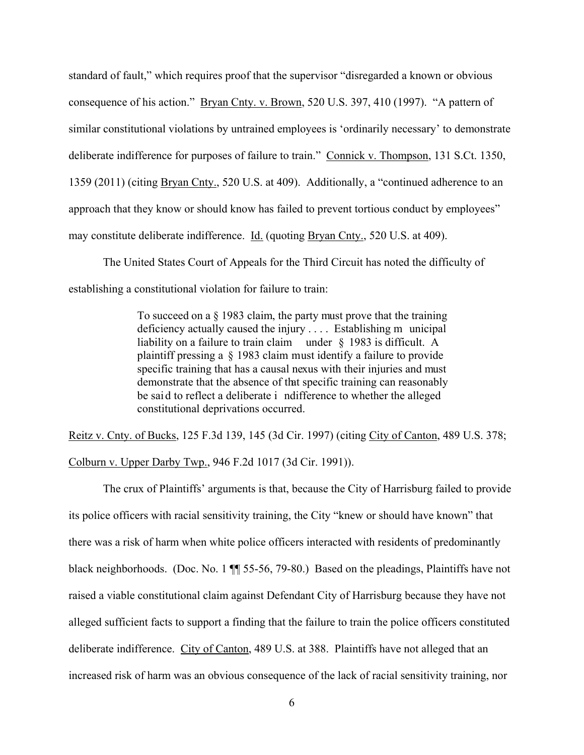standard of fault," which requires proof that the supervisor "disregarded a known or obvious consequence of his action." Bryan Cnty. v. Brown, 520 U.S. 397, 410 (1997). "A pattern of similar constitutional violations by untrained employees is 'ordinarily necessary' to demonstrate deliberate indifference for purposes of failure to train." Connick v. Thompson, 131 S.Ct. 1350, 1359 (2011) (citing Bryan Cnty., 520 U.S. at 409). Additionally, a "continued adherence to an approach that they know or should know has failed to prevent tortious conduct by employees" may constitute deliberate indifference. Id. (quoting Bryan Cnty., 520 U.S. at 409).

The United States Court of Appeals for the Third Circuit has noted the difficulty of establishing a constitutional violation for failure to train:

> To succeed on a § 1983 claim, the party must prove that the training deficiency actually caused the injury . . . . Establishing m unicipal liability on a failure to train claim under § 1983 is difficult. A plaintiff pressing a § 1983 claim must identify a failure to provide specific training that has a causal nexus with their injuries and must demonstrate that the absence of that specific training can reasonably be sai d to reflect a deliberate i ndifference to whether the alleged constitutional deprivations occurred.

Reitz v. Cnty. of Bucks, 125 F.3d 139, 145 (3d Cir. 1997) (citing City of Canton, 489 U.S. 378; Colburn v. Upper Darby Twp., 946 F.2d 1017 (3d Cir. 1991)).

The crux of Plaintiffs' arguments is that, because the City of Harrisburg failed to provide its police officers with racial sensitivity training, the City "knew or should have known" that there was a risk of harm when white police officers interacted with residents of predominantly black neighborhoods. (Doc. No. 1  $\P$  55-56, 79-80.) Based on the pleadings, Plaintiffs have not raised a viable constitutional claim against Defendant City of Harrisburg because they have not alleged sufficient facts to support a finding that the failure to train the police officers constituted deliberate indifference. City of Canton, 489 U.S. at 388. Plaintiffs have not alleged that an increased risk of harm was an obvious consequence of the lack of racial sensitivity training, nor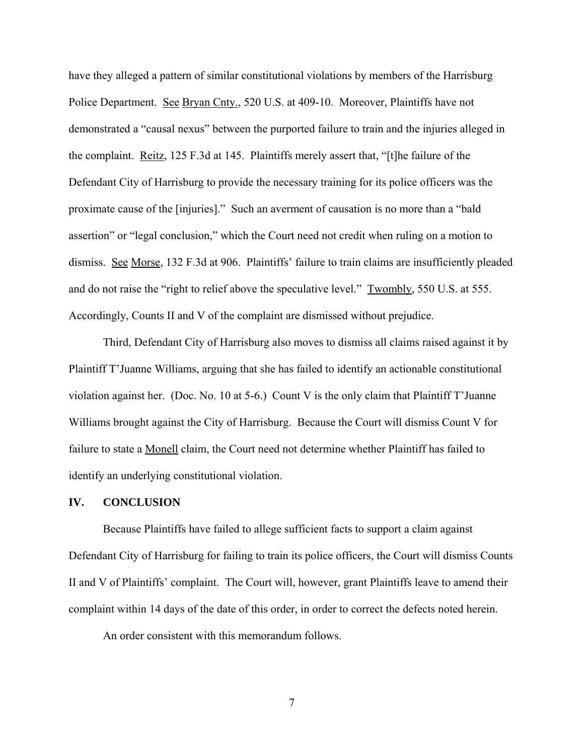have they alleged a pattern of similar constitutional violations by members of the Harrisburg Police Department. See Bryan Cnty., 520 U.S. at 409-10. Moreover, Plaintiffs have not demonstrated a "causal nexus" between the purported failure to train and the injuries alleged in the complaint. Reitz, 125 F.3d at 145. Plaintiffs merely assert that, "[t]he failure of the Defendant City of Harrisburg to provide the necessary training for its police officers was the proximate cause of the [injuries]." Such an averment of causation is no more than a "bald assertion" or "legal conclusion," which the Court need not credit when ruling on a motion to dismiss. See Morse, 132 F.3d at 906. Plaintiffs' failure to train claims are insufficiently pleaded and do not raise the "right to relief above the speculative level." Twombly, 550 U.S. at 555. Accordingly, Counts II and V of the complaint are dismissed without prejudice.

Third, Defendant City of Harrisburg also moves to dismiss all claims raised against it by Plaintiff T'Juanne Williams, arguing that she has failed to identify an actionable constitutional violation against her. (Doc. No. 10 at 5-6.) Count V is the only claim that Plaintiff T'Juanne Williams brought against the City of Harrisburg. Because the Court will dismiss Count V for failure to state a Monell claim, the Court need not determine whether Plaintiff has failed to identify an underlying constitutional violation.

#### **IV. CONCLUSION**

Because Plaintiffs have failed to allege sufficient facts to support a claim against Defendant City of Harrisburg for failing to train its police officers, the Court will dismiss Counts II and V of Plaintiffs' complaint. The Court will, however, grant Plaintiffs leave to amend their complaint within 14 days of the date of this order, in order to correct the defects noted herein.

An order consistent with this memorandum follows.